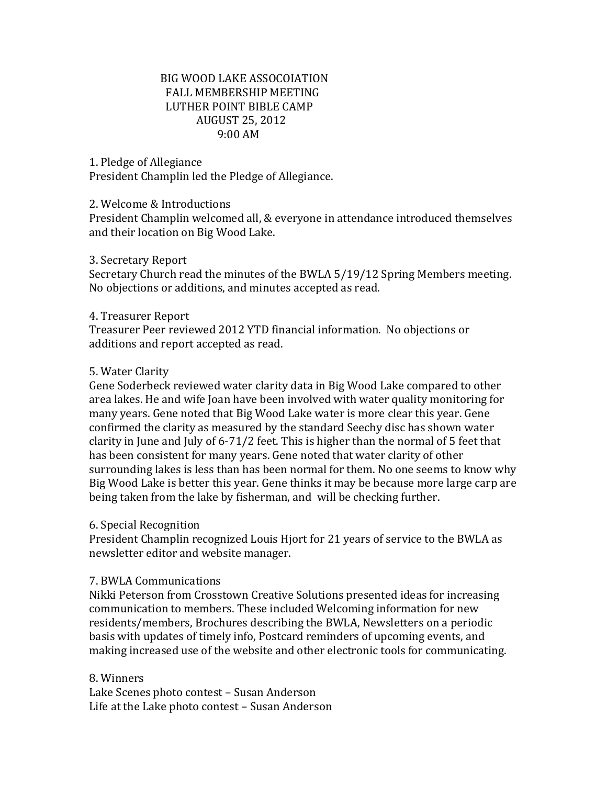# BIG WOOD LAKE ASSOCOIATION FALL MEMBERSHIP MEETING LUTHER POINT BIBLE CAMP AUGUST 25, 2012 9:00 AM

## 1. Pledge of Allegiance

President Champlin led the Pledge of Allegiance.

#### 2. Welcome & Introductions

President Champlin welcomed all, & everyone in attendance introduced themselves and their location on Big Wood Lake.

#### 3. Secretary Report

Secretary Church read the minutes of the BWLA 5/19/12 Spring Members meeting. No objections or additions, and minutes accepted as read.

## 4. Treasurer Report

Treasurer Peer reviewed 2012 YTD financial information. No objections or additions and report accepted as read.

#### 5. Water Clarity

Gene Soderbeck reviewed water clarity data in Big Wood Lake compared to other area lakes. He and wife Joan have been involved with water quality monitoring for many years. Gene noted that Big Wood Lake water is more clear this year. Gene confirmed the clarity as measured by the standard Seechy disc has shown water clarity in June and July of 6-71/2 feet. This is higher than the normal of 5 feet that has been consistent for many years. Gene noted that water clarity of other surrounding lakes is less than has been normal for them. No one seems to know why Big Wood Lake is better this year. Gene thinks it may be because more large carp are being taken from the lake by fisherman, and will be checking further.

## 6. Special Recognition

President Champlin recognized Louis Hjort for 21 years of service to the BWLA as newsletter editor and website manager.

## 7. BWLA Communications

Nikki Peterson from Crosstown Creative Solutions presented ideas for increasing communication to members. These included Welcoming information for new residents/members, Brochures describing the BWLA, Newsletters on a periodic basis with updates of timely info, Postcard reminders of upcoming events, and making increased use of the website and other electronic tools for communicating.

## 8. Winners

Lake Scenes photo contest – Susan Anderson Life at the Lake photo contest – Susan Anderson